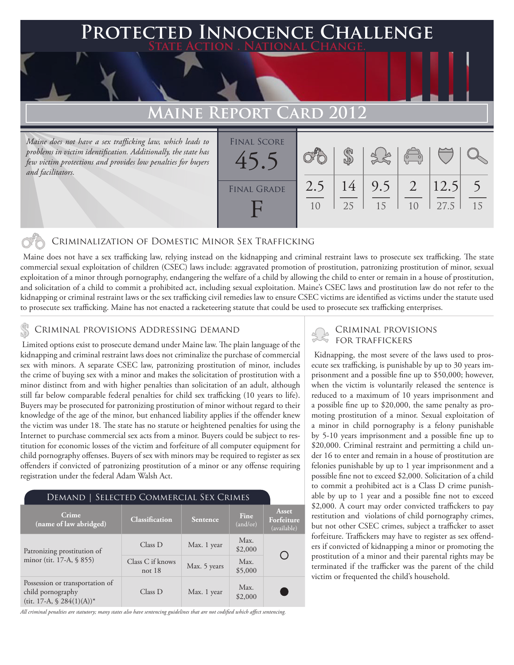## **PTED INNOCENCE CHALLENGE State Action . National Change.**

# **MAINE REPORT CARD 201**

*Maine does not have a sex trafficking law, which leads to problems in victim identification. Additionally, the state has few victim protections and provides low penalties for buyers and facilitators.*

| <b>FINAL SCORE</b> |     |    |     |                    |      |    |
|--------------------|-----|----|-----|--------------------|------|----|
| 4 <sup>5</sup>     |     |    |     | $\overline{\circ}$ |      |    |
|                    |     |    |     |                    |      |    |
| <b>FINAL GRADE</b> | 2.5 | 14 | 9.5 | 2                  | 12.5 |    |
|                    | 10  | 25 | 15  |                    | 27.5 | 15 |
|                    |     |    |     |                    |      |    |

### Criminalization of Domestic Minor Sex Trafficking

 Maine does not have a sex trafficking law, relying instead on the kidnapping and criminal restraint laws to prosecute sex trafficking. The state commercial sexual exploitation of children (CSEC) laws include: aggravated promotion of prostitution, patronizing prostitution of minor, sexual exploitation of a minor through pornography, endangering the welfare of a child by allowing the child to enter or remain in a house of prostitution, and solicitation of a child to commit a prohibited act, including sexual exploitation. Maine's CSEC laws and prostitution law do not refer to the kidnapping or criminal restraint laws or the sex trafficking civil remedies law to ensure CSEC victims are identified as victims under the statute used to prosecute sex trafficking. Maine has not enacted a racketeering statute that could be used to prosecute sex trafficking enterprises.

## CRIMINAL PROVISIONS ADDRESSING DEMAND<br>FOR TRAFFICKERS

 Limited options exist to prosecute demand under Maine law. The plain language of the kidnapping and criminal restraint laws does not criminalize the purchase of commercial sex with minors. A separate CSEC law, patronizing prostitution of minor, includes the crime of buying sex with a minor and makes the solicitation of prostitution with a minor distinct from and with higher penalties than solicitation of an adult, although still far below comparable federal penalties for child sex trafficking (10 years to life). Buyers may be prosecuted for patronizing prostitution of minor without regard to their knowledge of the age of the minor, but enhanced liability applies if the offender knew the victim was under 18. The state has no statute or heightened penalties for using the Internet to purchase commercial sex acts from a minor. Buyers could be subject to restitution for economic losses of the victim and forfeiture of all computer equipment for child pornography offenses. Buyers of sex with minors may be required to register as sex offenders if convicted of patronizing prostitution of a minor or any offense requiring registration under the federal Adam Walsh Act.

## Demand | Selected Commercial Sex Crimes

| Crime<br>(name of law abridged)                                                   | <b>Classification</b>        | Sentence     | Fine<br>(and/or) | <b>Asset</b><br>Forfeiture<br>(available) |  |
|-----------------------------------------------------------------------------------|------------------------------|--------------|------------------|-------------------------------------------|--|
| Patronizing prostitution of                                                       | Class D                      | Max. 1 year  | Max.<br>\$2,000  |                                           |  |
| minor (tit. 17-A, § 855)                                                          | Class C if knows<br>not $18$ | Max. 5 years | Max.<br>\$5,000  |                                           |  |
| Possession or transportation of<br>child pornography<br>(tit. 17-A, $$284(1)(A)*$ | Class D                      | Max. 1 year  | Max.<br>\$2,000  |                                           |  |

*All criminal penalties are statutory; many states also have sentencing guidelines that are not codified which affect sentencing.* 

# Criminal provisions

 Kidnapping, the most severe of the laws used to prosecute sex trafficking, is punishable by up to 30 years imprisonment and a possible fine up to \$50,000; however, when the victim is voluntarily released the sentence is reduced to a maximum of 10 years imprisonment and a possible fine up to \$20,000, the same penalty as promoting prostitution of a minor. Sexual exploitation of a minor in child pornography is a felony punishable by 5-10 years imprisonment and a possible fine up to \$20,000. Criminal restraint and permitting a child under 16 to enter and remain in a house of prostitution are felonies punishable by up to 1 year imprisonment and a possible fine not to exceed \$2,000. Solicitation of a child to commit a prohibited act is a Class D crime punishable by up to 1 year and a possible fine not to exceed \$2,000. A court may order convicted traffickers to pay restitution and violations of child pornography crimes, but not other CSEC crimes, subject a trafficker to asset forfeiture. Traffickers may have to register as sex offenders if convicted of kidnapping a minor or promoting the prostitution of a minor and their parental rights may be terminated if the trafficker was the parent of the child victim or frequented the child's household.